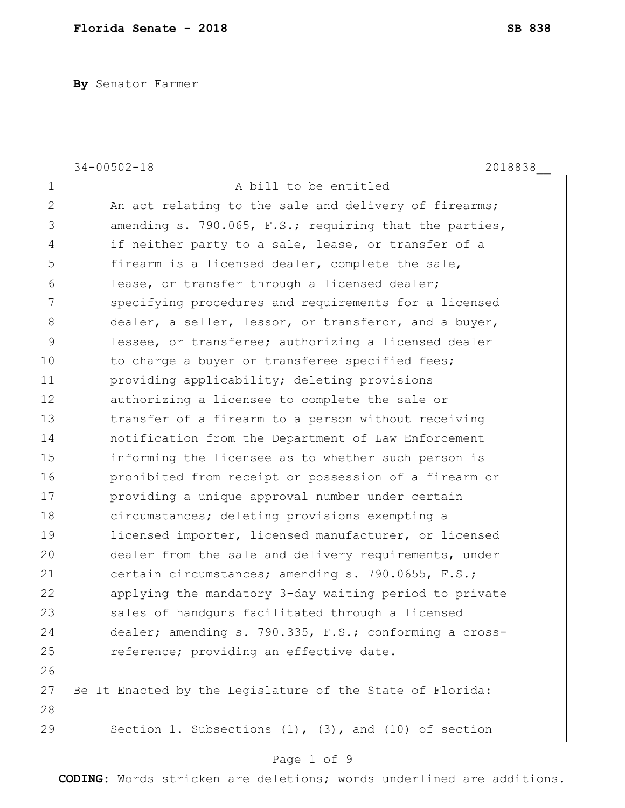**By** Senator Farmer

|               | $34 - 00502 - 18$<br>2018838                                 |
|---------------|--------------------------------------------------------------|
| 1             | A bill to be entitled                                        |
| $\mathbf{2}$  | An act relating to the sale and delivery of firearms;        |
| 3             | amending s. 790.065, F.S.; requiring that the parties,       |
| 4             | if neither party to a sale, lease, or transfer of a          |
| 5             | firearm is a licensed dealer, complete the sale,             |
| 6             | lease, or transfer through a licensed dealer;                |
| 7             | specifying procedures and requirements for a licensed        |
| $8\,$         | dealer, a seller, lessor, or transferor, and a buyer,        |
| $\mathcal{G}$ | lessee, or transferee; authorizing a licensed dealer         |
| 10            | to charge a buyer or transferee specified fees;              |
| 11            | providing applicability; deleting provisions                 |
| 12            | authorizing a licensee to complete the sale or               |
| 13            | transfer of a firearm to a person without receiving          |
| 14            | notification from the Department of Law Enforcement          |
| 15            | informing the licensee as to whether such person is          |
| 16            | prohibited from receipt or possession of a firearm or        |
| 17            | providing a unique approval number under certain             |
| 18            | circumstances; deleting provisions exempting a               |
| 19            | licensed importer, licensed manufacturer, or licensed        |
| 20            | dealer from the sale and delivery requirements, under        |
| 21            | certain circumstances; amending s. 790.0655, F.S.;           |
| 22            | applying the mandatory 3-day waiting period to private       |
| 23            | sales of handguns facilitated through a licensed             |
| 24            | dealer; amending s. 790.335, F.S.; conforming a cross-       |
| 25            | reference; providing an effective date.                      |
| 26            |                                                              |
| 27            | Be It Enacted by the Legislature of the State of Florida:    |
| 28            |                                                              |
| 29            | Section 1. Subsections $(1)$ , $(3)$ , and $(10)$ of section |
|               |                                                              |

### Page 1 of 9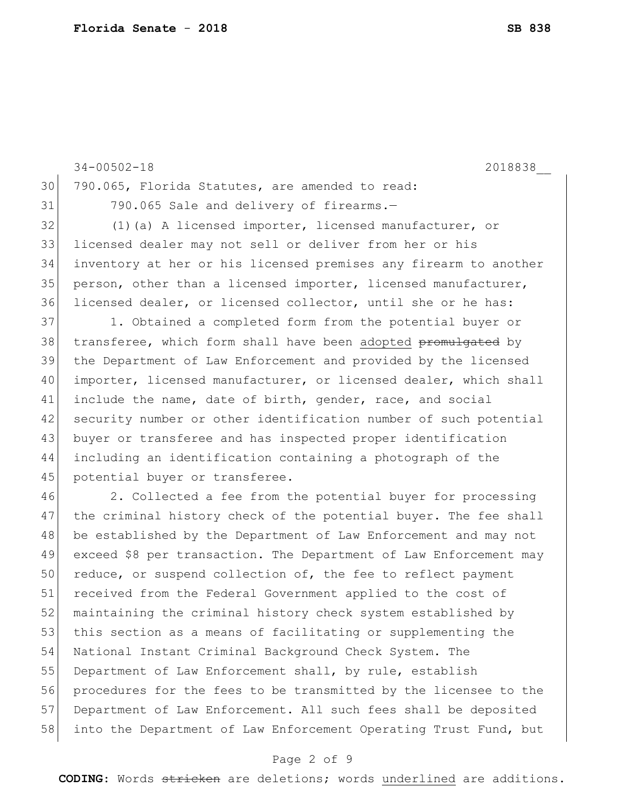|    | $34 - 00502 - 18$<br>2018838                                      |
|----|-------------------------------------------------------------------|
| 30 | 790.065, Florida Statutes, are amended to read:                   |
| 31 | 790.065 Sale and delivery of firearms.-                           |
| 32 | (1) (a) A licensed importer, licensed manufacturer, or            |
| 33 | licensed dealer may not sell or deliver from her or his           |
| 34 | inventory at her or his licensed premises any firearm to another  |
| 35 | person, other than a licensed importer, licensed manufacturer,    |
| 36 | licensed dealer, or licensed collector, until she or he has:      |
| 37 | 1. Obtained a completed form from the potential buyer or          |
| 38 | transferee, which form shall have been adopted promulgated by     |
| 39 | the Department of Law Enforcement and provided by the licensed    |
| 40 | importer, licensed manufacturer, or licensed dealer, which shall  |
| 41 | include the name, date of birth, gender, race, and social         |
| 42 | security number or other identification number of such potential  |
| 43 | buyer or transferee and has inspected proper identification       |
| 44 | including an identification containing a photograph of the        |
| 45 | potential buyer or transferee.                                    |
| 46 | 2. Collected a fee from the potential buyer for processing        |
| 47 | the criminal history check of the potential buyer. The fee shall  |
| 48 | be established by the Department of Law Enforcement and may not   |
| 49 | exceed \$8 per transaction. The Department of Law Enforcement may |
| 50 | reduce, or suspend collection of, the fee to reflect payment      |
| 51 | received from the Federal Government applied to the cost of       |
| 52 | maintaining the criminal history check system established by      |
| 53 | this section as a means of facilitating or supplementing the      |
| 54 | National Instant Criminal Background Check System. The            |
| 55 | Department of Law Enforcement shall, by rule, establish           |
| 56 | procedures for the fees to be transmitted by the licensee to the  |
| 57 | Department of Law Enforcement. All such fees shall be deposited   |
| 58 | into the Department of Law Enforcement Operating Trust Fund, but  |
|    |                                                                   |

# Page 2 of 9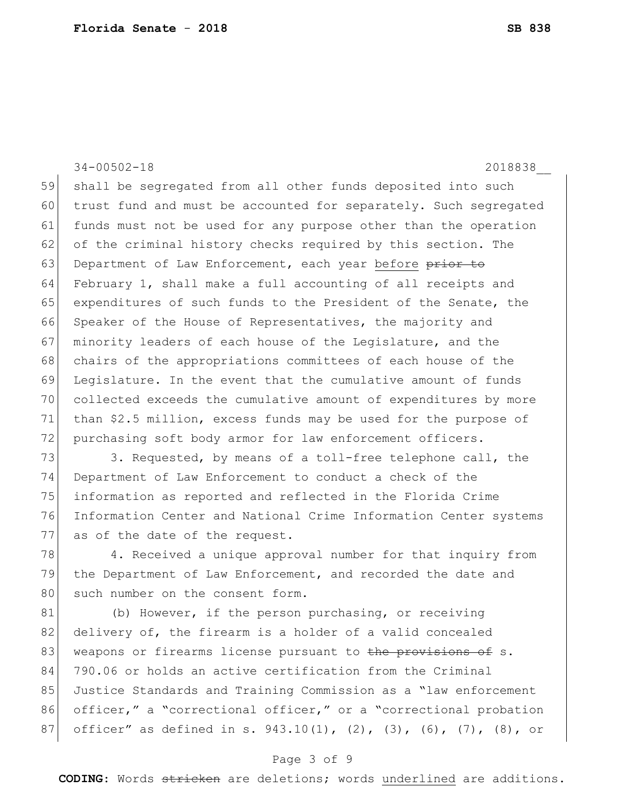34-00502-18 2018838\_\_ 59 shall be segregated from all other funds deposited into such 60 trust fund and must be accounted for separately. Such segregated 61 funds must not be used for any purpose other than the operation 62 of the criminal history checks required by this section. The 63 Department of Law Enforcement, each year before prior to 64 February 1, shall make a full accounting of all receipts and 65 expenditures of such funds to the President of the Senate, the 66 Speaker of the House of Representatives, the majority and 67 minority leaders of each house of the Legislature, and the 68 chairs of the appropriations committees of each house of the 69 Legislature. In the event that the cumulative amount of funds 70 collected exceeds the cumulative amount of expenditures by more 71 than \$2.5 million, excess funds may be used for the purpose of 72 purchasing soft body armor for law enforcement officers.

73 3. Requested, by means of a toll-free telephone call, the 74 Department of Law Enforcement to conduct a check of the 75 information as reported and reflected in the Florida Crime 76 Information Center and National Crime Information Center systems 77 as of the date of the request.

78 4. Received a unique approval number for that inquiry from 79 the Department of Law Enforcement, and recorded the date and 80 such number on the consent form.

81 (b) However, if the person purchasing, or receiving 82 delivery of, the firearm is a holder of a valid concealed 83 weapons or firearms license pursuant to the provisions of s. 84 790.06 or holds an active certification from the Criminal 85 Justice Standards and Training Commission as a "law enforcement 86 officer," a "correctional officer," or a "correctional probation 87 officer" as defined in s. 943.10(1), (2), (3), (6), (7), (8), or

### Page 3 of 9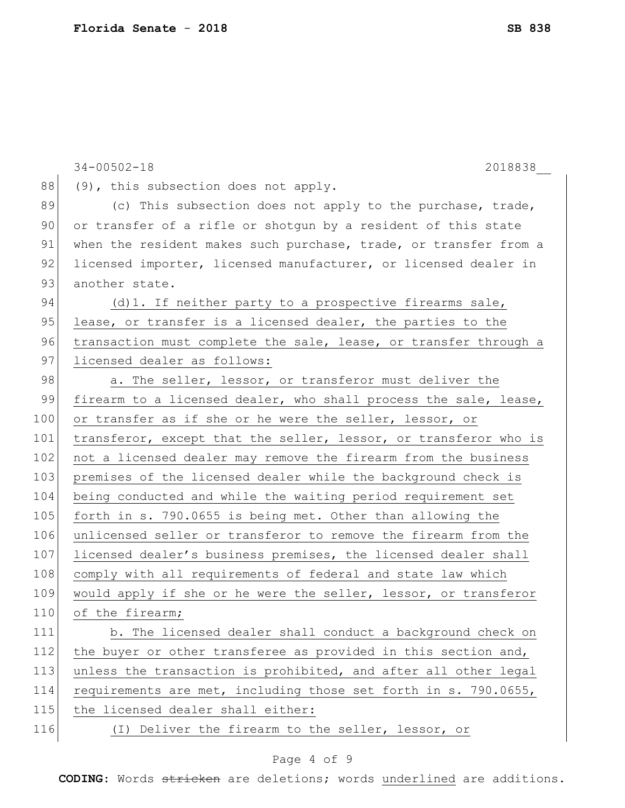|     | $34 - 00502 - 18$<br>2018838                                     |
|-----|------------------------------------------------------------------|
| 88  | (9), this subsection does not apply.                             |
| 89  | (c) This subsection does not apply to the purchase, trade,       |
| 90  | or transfer of a rifle or shotgun by a resident of this state    |
| 91  | when the resident makes such purchase, trade, or transfer from a |
| 92  | licensed importer, licensed manufacturer, or licensed dealer in  |
| 93  | another state.                                                   |
| 94  | $(d) 1.$ If neither party to a prospective firearms sale,        |
| 95  | lease, or transfer is a licensed dealer, the parties to the      |
| 96  | transaction must complete the sale, lease, or transfer through a |
| 97  | licensed dealer as follows:                                      |
| 98  | a. The seller, lessor, or transferor must deliver the            |
| 99  | firearm to a licensed dealer, who shall process the sale, lease, |
| 100 | or transfer as if she or he were the seller, lessor, or          |
| 101 | transferor, except that the seller, lessor, or transferor who is |
| 102 | not a licensed dealer may remove the firearm from the business   |
| 103 | premises of the licensed dealer while the background check is    |
| 104 | being conducted and while the waiting period requirement set     |
| 105 | forth in s. 790.0655 is being met. Other than allowing the       |
| 106 | unlicensed seller or transferor to remove the firearm from the   |
| 107 | licensed dealer's business premises, the licensed dealer shall   |
| 108 | comply with all requirements of federal and state law which      |
| 109 | would apply if she or he were the seller, lessor, or transferor  |
| 110 | of the firearm;                                                  |
| 111 | b. The licensed dealer shall conduct a background check on       |
| 112 | the buyer or other transferee as provided in this section and,   |
| 113 | unless the transaction is prohibited, and after all other legal  |
| 114 | requirements are met, including those set forth in s. 790.0655,  |
| 115 | the licensed dealer shall either:                                |
| 116 | (I) Deliver the firearm to the seller, lessor, or                |
|     |                                                                  |

# Page 4 of 9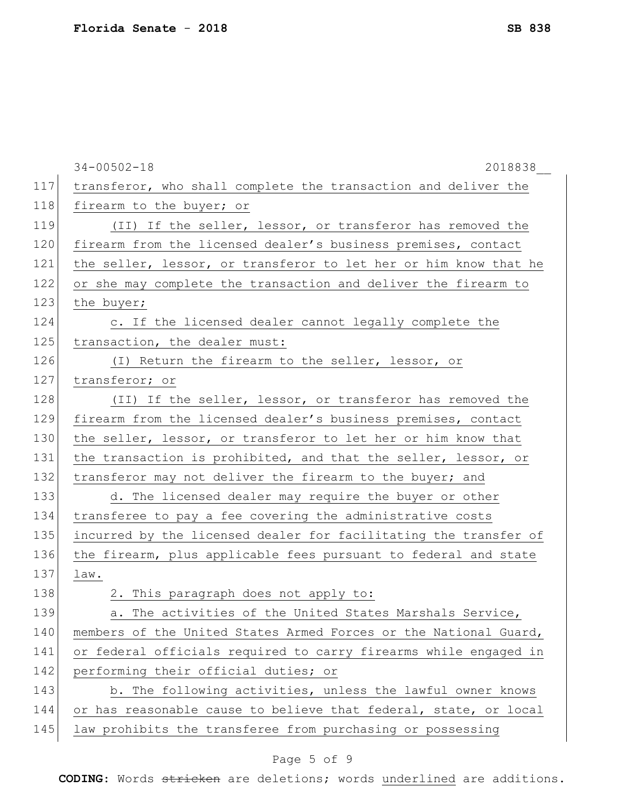|     | $34 - 00502 - 18$<br>2018838                                     |
|-----|------------------------------------------------------------------|
| 117 | transferor, who shall complete the transaction and deliver the   |
| 118 | firearm to the buyer; or                                         |
| 119 | (II) If the seller, lessor, or transferor has removed the        |
| 120 | firearm from the licensed dealer's business premises, contact    |
| 121 | the seller, lessor, or transferor to let her or him know that he |
| 122 | or she may complete the transaction and deliver the firearm to   |
| 123 | the buyer;                                                       |
| 124 | c. If the licensed dealer cannot legally complete the            |
| 125 | transaction, the dealer must:                                    |
| 126 | (I) Return the firearm to the seller, lessor, or                 |
| 127 | transferor; or                                                   |
| 128 | (II) If the seller, lessor, or transferor has removed the        |
| 129 | firearm from the licensed dealer's business premises, contact    |
| 130 | the seller, lessor, or transferor to let her or him know that    |
| 131 | the transaction is prohibited, and that the seller, lessor, or   |
| 132 | transferor may not deliver the firearm to the buyer; and         |
| 133 | d. The licensed dealer may require the buyer or other            |
| 134 | transferee to pay a fee covering the administrative costs        |
| 135 | incurred by the licensed dealer for facilitating the transfer of |
| 136 | the firearm, plus applicable fees pursuant to federal and state  |
| 137 | law.                                                             |
| 138 | 2. This paragraph does not apply to:                             |
| 139 | The activities of the United States Marshals Service,<br>а.      |
| 140 | members of the United States Armed Forces or the National Guard, |
| 141 | or federal officials required to carry firearms while engaged in |
| 142 | performing their official duties; or                             |
| 143 | b. The following activities, unless the lawful owner knows       |
| 144 | or has reasonable cause to believe that federal, state, or local |
| 145 | law prohibits the transferee from purchasing or possessing       |
|     |                                                                  |

# Page 5 of 9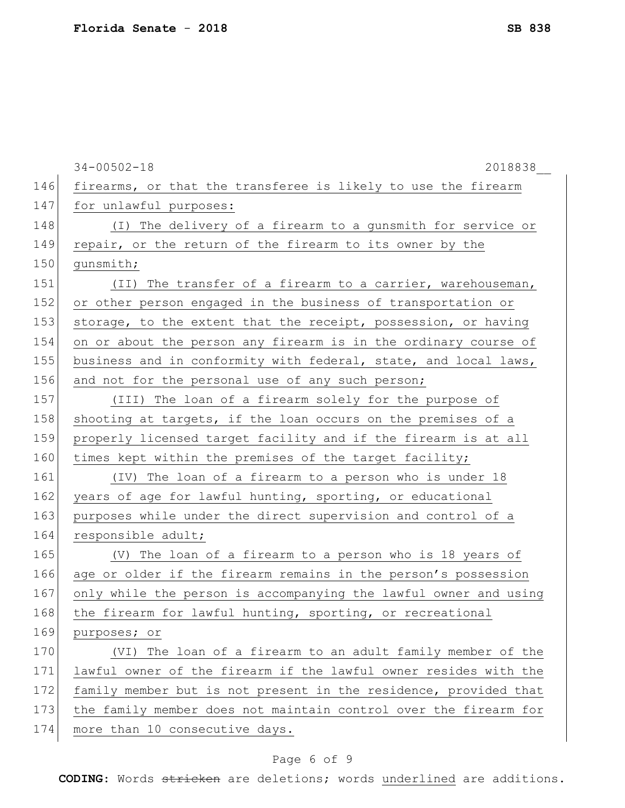| 146<br>firearms, or that the transferee is likely to use the firearm<br>147<br>for unlawful purposes:<br>148<br>(I) The delivery of a firearm to a gunsmith for service or<br>149<br>repair, or the return of the firearm to its owner by the<br>150<br>qunsmith;<br>151<br>(II) The transfer of a firearm to a carrier, warehouseman, |  |
|----------------------------------------------------------------------------------------------------------------------------------------------------------------------------------------------------------------------------------------------------------------------------------------------------------------------------------------|--|
|                                                                                                                                                                                                                                                                                                                                        |  |
|                                                                                                                                                                                                                                                                                                                                        |  |
|                                                                                                                                                                                                                                                                                                                                        |  |
|                                                                                                                                                                                                                                                                                                                                        |  |
|                                                                                                                                                                                                                                                                                                                                        |  |
|                                                                                                                                                                                                                                                                                                                                        |  |
| 152<br>or other person engaged in the business of transportation or                                                                                                                                                                                                                                                                    |  |
| 153<br>storage, to the extent that the receipt, possession, or having                                                                                                                                                                                                                                                                  |  |
| 154<br>on or about the person any firearm is in the ordinary course of                                                                                                                                                                                                                                                                 |  |
| 155<br>business and in conformity with federal, state, and local laws,                                                                                                                                                                                                                                                                 |  |
| 156<br>and not for the personal use of any such person;                                                                                                                                                                                                                                                                                |  |
| 157<br>(III) The loan of a firearm solely for the purpose of                                                                                                                                                                                                                                                                           |  |
| 158<br>shooting at targets, if the loan occurs on the premises of a                                                                                                                                                                                                                                                                    |  |
| 159<br>properly licensed target facility and if the firearm is at all                                                                                                                                                                                                                                                                  |  |
| 160<br>times kept within the premises of the target facility;                                                                                                                                                                                                                                                                          |  |
| 161<br>(IV) The loan of a firearm to a person who is under 18                                                                                                                                                                                                                                                                          |  |
| 162<br>years of age for lawful hunting, sporting, or educational                                                                                                                                                                                                                                                                       |  |
| 163<br>purposes while under the direct supervision and control of a                                                                                                                                                                                                                                                                    |  |
| 164<br>responsible adult;                                                                                                                                                                                                                                                                                                              |  |
| 165<br>(V) The loan of a firearm to a person who is 18 years of                                                                                                                                                                                                                                                                        |  |
| 166<br>age or older if the firearm remains in the person's possession                                                                                                                                                                                                                                                                  |  |
| 167<br>only while the person is accompanying the lawful owner and using                                                                                                                                                                                                                                                                |  |
| 168<br>the firearm for lawful hunting, sporting, or recreational                                                                                                                                                                                                                                                                       |  |
| 169<br>purposes; or                                                                                                                                                                                                                                                                                                                    |  |
| 170<br>(VI) The loan of a firearm to an adult family member of the                                                                                                                                                                                                                                                                     |  |
| 171<br>lawful owner of the firearm if the lawful owner resides with the                                                                                                                                                                                                                                                                |  |
| 172<br>family member but is not present in the residence, provided that                                                                                                                                                                                                                                                                |  |
| 173<br>the family member does not maintain control over the firearm for                                                                                                                                                                                                                                                                |  |
| 174<br>more than 10 consecutive days.                                                                                                                                                                                                                                                                                                  |  |

# Page 6 of 9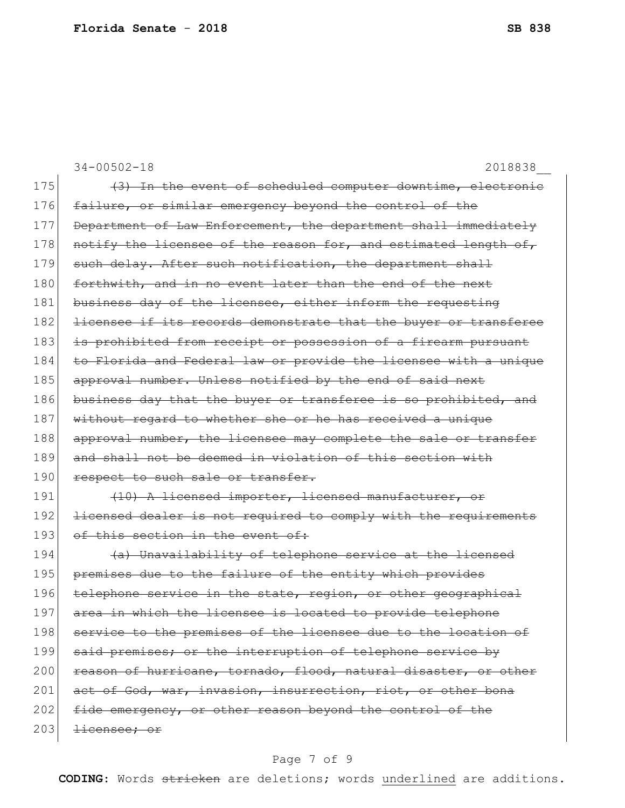34-00502-18 2018838\_\_ 175 (3) In the event of scheduled computer downtime, electronic 176 failure, or similar emergency beyond the control of the 177 Department of Law Enforcement, the department shall immediately 178 notify the licensee of the reason for, and estimated length of, 179 such delay. After such notification, the department shall 180 forthwith, and in no event later than the end of the next 181 business day of the licensee, either inform the requesting 182 <del>licensee if its records demonstrate that the buyer or transferee</del> 183 is prohibited from receipt or possession of a firearm pursuant 184 to Florida and Federal law or provide the licensee with a unique 185 approval number. Unless notified by the end of said next 186 business day that the buyer or transferee is so prohibited, and 187 without regard to whether she or he has received a unique 188 approval number, the licensee may complete the sale or transfer 189 and shall not be deemed in violation of this section with 190 respect to such sale or transfer. 191 (10) A licensed importer, licensed manufacturer, or 192 licensed dealer is not required to comply with the requirements 193 of this section in the event of: 194  $(a)$  Unavailability of telephone service at the licensed 195 premises due to the failure of the entity which provides 196 telephone service in the state, region, or other geographical 197 area in which the licensee is located to provide telephone 198 service to the premises of the licensee due to the location of 199 said premises; or the interruption of telephone service by 200 reason of hurricane, tornado, flood, natural disaster, or other 201 act of God, war, invasion, insurrection, riot, or other bona 202 fide emergency, or other reason beyond the control of the  $203$  <del>licensee; or</del>

### Page 7 of 9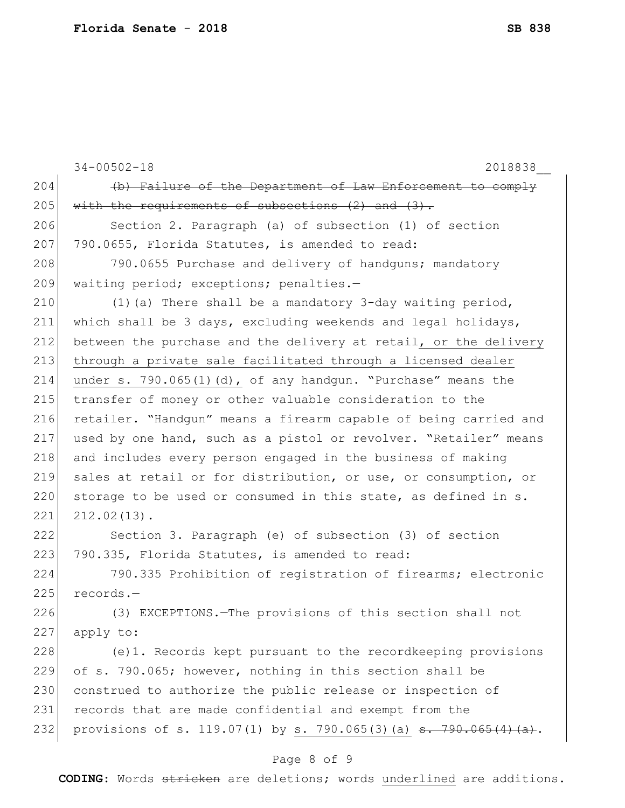|     | $34 - 00502 - 18$<br>2018838                                                 |
|-----|------------------------------------------------------------------------------|
| 204 | (b) Failure of the Department of Law Enforcement to comply                   |
| 205 | with the requirements of subsections $(2)$ and $(3)$ .                       |
| 206 | Section 2. Paragraph (a) of subsection (1) of section                        |
| 207 | 790.0655, Florida Statutes, is amended to read:                              |
| 208 | 790.0655 Purchase and delivery of handquns; mandatory                        |
| 209 | waiting period; exceptions; penalties.-                                      |
| 210 | (1) (a) There shall be a mandatory 3-day waiting period,                     |
| 211 | which shall be 3 days, excluding weekends and legal holidays,                |
| 212 | between the purchase and the delivery at retail, or the delivery             |
| 213 | through a private sale facilitated through a licensed dealer                 |
| 214 | under s. 790.065(1)(d), of any handgun. "Purchase" means the                 |
| 215 | transfer of money or other valuable consideration to the                     |
| 216 | retailer. "Handqun" means a firearm capable of being carried and             |
| 217 | used by one hand, such as a pistol or revolver. "Retailer" means             |
| 218 | and includes every person engaged in the business of making                  |
| 219 | sales at retail or for distribution, or use, or consumption, or              |
| 220 | storage to be used or consumed in this state, as defined in s.               |
| 221 | $212.02(13)$ .                                                               |
| 222 | Section 3. Paragraph (e) of subsection (3) of section                        |
| 223 | 790.335, Florida Statutes, is amended to read:                               |
| 224 | 790.335 Prohibition of registration of firearms; electronic                  |
| 225 | records.-                                                                    |
| 226 | (3) EXCEPTIONS. The provisions of this section shall not                     |
| 227 | apply to:                                                                    |
| 228 | (e)1. Records kept pursuant to the recordkeeping provisions                  |
| 229 | of s. 790.065; however, nothing in this section shall be                     |
| 230 | construed to authorize the public release or inspection of                   |
| 231 | records that are made confidential and exempt from the                       |
| 232 | provisions of s. 119.07(1) by s. 790.065(3)(a) <del>s. 790.065(4)(a)</del> . |
|     | Page 8 of 9                                                                  |